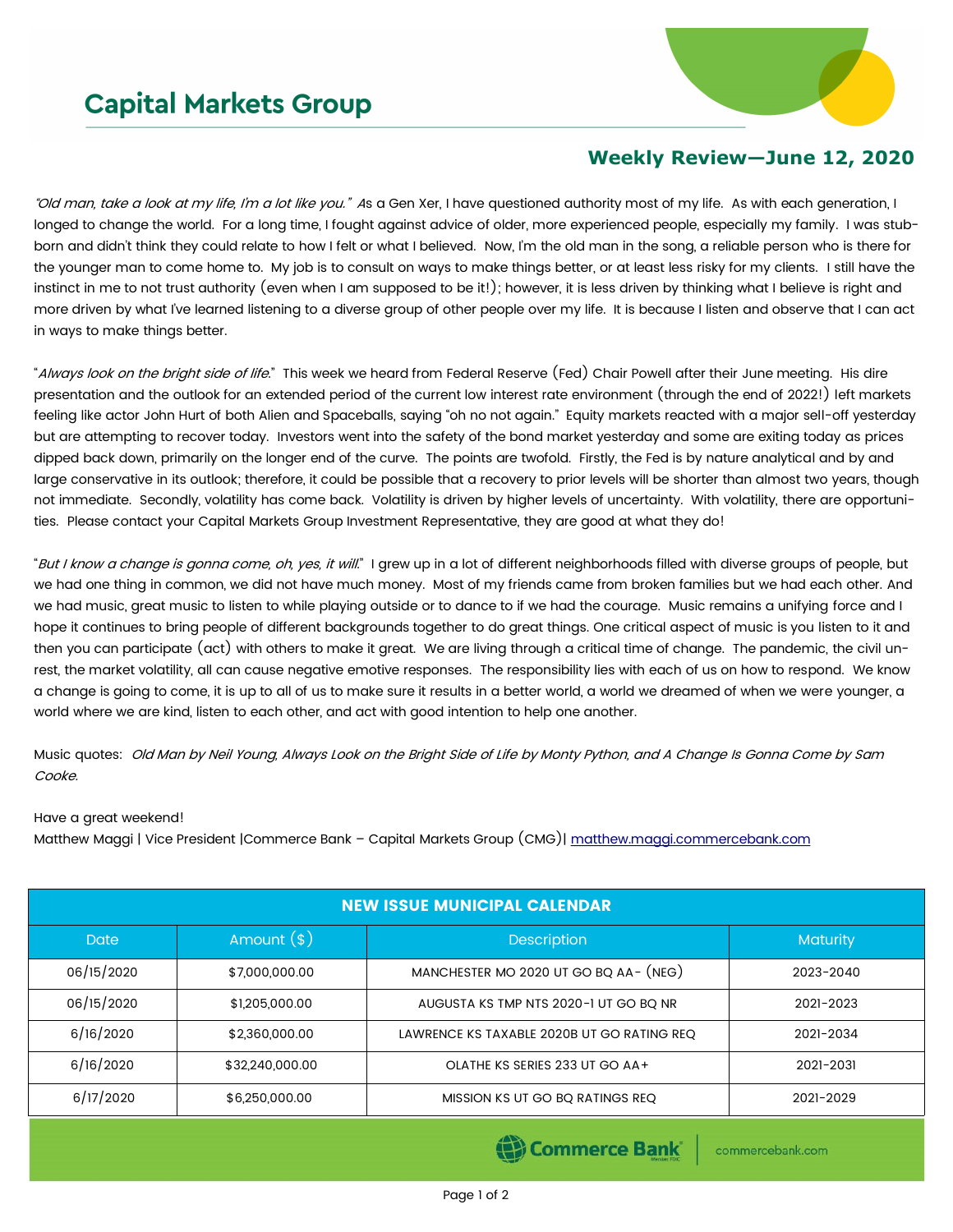## **Capital Markets Group**



## **Weekly Review—June 12, 2020**

"Old man, take a look at my life, I'm a lot like you." As a Gen Xer, I have questioned authority most of my life. As with each generation, I longed to change the world. For a long time, I fought against advice of older, more experienced people, especially my family. I was stubborn and didn't think they could relate to how I felt or what I believed. Now, I'm the old man in the song, a reliable person who is there for the younger man to come home to. My job is to consult on ways to make things better, or at least less risky for my clients. I still have the instinct in me to not trust authority (even when I am supposed to be it!); however, it is less driven by thinking what I believe is right and more driven by what I've learned listening to a diverse group of other people over my life. It is because I listen and observe that I can act in ways to make things better.

"Always look on the bright side of life." This week we heard from Federal Reserve (Fed) Chair Powell after their June meeting. His dire presentation and the outlook for an extended period of the current low interest rate environment (through the end of 2022!) left markets feeling like actor John Hurt of both Alien and Spaceballs, saying "oh no not again." Equity markets reacted with a major sell-off yesterday but are attempting to recover today. Investors went into the safety of the bond market yesterday and some are exiting today as prices dipped back down, primarily on the longer end of the curve. The points are twofold. Firstly, the Fed is by nature analytical and by and large conservative in its outlook; therefore, it could be possible that a recovery to prior levels will be shorter than almost two years, though not immediate. Secondly, volatility has come back. Volatility is driven by higher levels of uncertainty. With volatility, there are opportunities. Please contact your Capital Markets Group Investment Representative, they are good at what they do!

"But I know a change is gonna come, oh, yes, it will." I grew up in a lot of different neighborhoods filled with diverse groups of people, but we had one thing in common, we did not have much money. Most of my friends came from broken families but we had each other. And we had music, great music to listen to while playing outside or to dance to if we had the courage. Music remains a unifying force and I hope it continues to bring people of different backgrounds together to do great things. One critical aspect of music is you listen to it and then you can participate (act) with others to make it great. We are living through a critical time of change. The pandemic, the civil unrest, the market volatility, all can cause negative emotive responses. The responsibility lies with each of us on how to respond. We know a change is going to come, it is up to all of us to make sure it results in a better world, a world we dreamed of when we were younger, a world where we are kind, listen to each other, and act with good intention to help one another.

Music quotes: Old Man by Neil Young, Always Look on the Bright Side of Life by Monty Python, and A Change Is Gonna Come by Sam Cooke.

## Have a great weekend!

Matthew Maggi | Vice President |Commerce Bank - Capital Markets Group (CMG)| [matthew.maggi.commercebank.com](mailto:matthew.maggi@commercebank.com)

| <b>NEW ISSUE MUNICIPAL CALENDAR</b> |                 |                                            |           |  |  |  |  |  |
|-------------------------------------|-----------------|--------------------------------------------|-----------|--|--|--|--|--|
| Date                                | Amount $(*)$    | <b>Description</b>                         | Maturity  |  |  |  |  |  |
| 06/15/2020                          | \$7,000,000.00  | MANCHESTER MO 2020 UT GO BQ AA- (NEG)      | 2023-2040 |  |  |  |  |  |
| 06/15/2020                          | \$1,205,000.00  | AUGUSTA KS TMP NTS 2020-1 UT GO BO NR      | 2021-2023 |  |  |  |  |  |
| 6/16/2020                           | \$2,360,000.00  | LAWRENCE KS TAXABLE 2020B UT GO RATING REQ | 2021-2034 |  |  |  |  |  |
| 6/16/2020                           | \$32,240,000.00 | OLATHE KS SERIES 233 UT GO AA+             | 2021-2031 |  |  |  |  |  |
| 6/17/2020                           | \$6,250,000.00  | MISSION KS UT GO BQ RATINGS REQ            | 2021-2029 |  |  |  |  |  |

Commerce Bank

commercebank.com